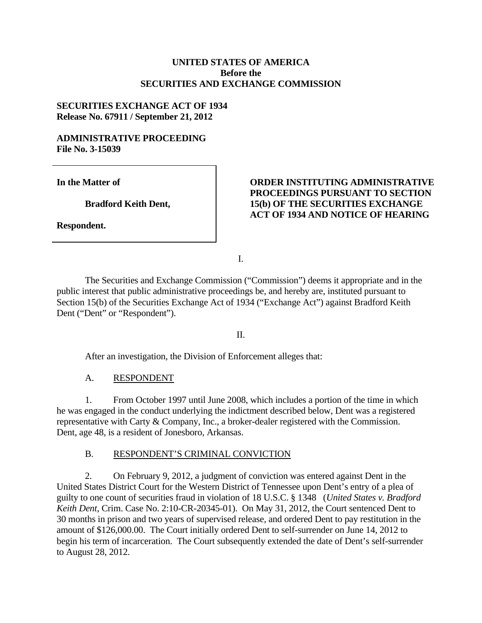## **UNITED STATES OF AMERICA Before the SECURITIES AND EXCHANGE COMMISSION**

# **SECURITIES EXCHANGE ACT OF 1934 Release No. 67911 / September 21, 2012**

#### **ADMINISTRATIVE PROCEEDING File No. 3-15039**

**In the Matter of** 

**Bradford Keith Dent,** 

**Respondent.** 

# **ORDER INSTITUTING ADMINISTRATIVE PROCEEDINGS PURSUANT TO SECTION 15(b) OF THE SECURITIES EXCHANGE ACT OF 1934 AND NOTICE OF HEARING**

I.

 The Securities and Exchange Commission ("Commission") deems it appropriate and in the public interest that public administrative proceedings be, and hereby are, instituted pursuant to Section 15(b) of the Securities Exchange Act of 1934 ("Exchange Act") against Bradford Keith Dent ("Dent" or "Respondent").

## II.

After an investigation, the Division of Enforcement alleges that:

A. RESPONDENT

1. From October 1997 until June 2008, which includes a portion of the time in which he was engaged in the conduct underlying the indictment described below, Dent was a registered representative with Carty & Company, Inc., a broker-dealer registered with the Commission. Dent, age 48, is a resident of Jonesboro, Arkansas.

## B. RESPONDENT'S CRIMINAL CONVICTION

2. On February 9, 2012, a judgment of conviction was entered against Dent in the United States District Court for the Western District of Tennessee upon Dent's entry of a plea of guilty to one count of securities fraud in violation of 18 U.S.C. § 1348 (*United States v. Bradford Keith Dent*, Crim. Case No. 2:10-CR-20345-01). On May 31, 2012, the Court sentenced Dent to 30 months in prison and two years of supervised release, and ordered Dent to pay restitution in the amount of \$126,000.00. The Court initially ordered Dent to self-surrender on June 14, 2012 to begin his term of incarceration. The Court subsequently extended the date of Dent's self-surrender to August 28, 2012.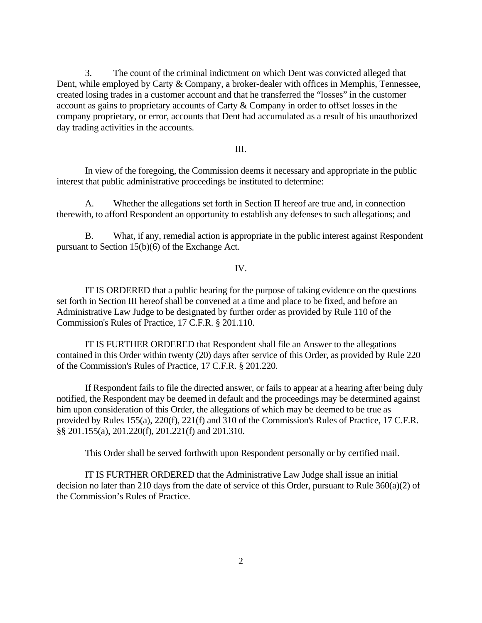3. The count of the criminal indictment on which Dent was convicted alleged that Dent, while employed by Carty & Company, a broker-dealer with offices in Memphis, Tennessee, created losing trades in a customer account and that he transferred the "losses" in the customer account as gains to proprietary accounts of Carty & Company in order to offset losses in the company proprietary, or error, accounts that Dent had accumulated as a result of his unauthorized day trading activities in the accounts.

#### III.

In view of the foregoing, the Commission deems it necessary and appropriate in the public interest that public administrative proceedings be instituted to determine:

A. Whether the allegations set forth in Section II hereof are true and, in connection therewith, to afford Respondent an opportunity to establish any defenses to such allegations; and

B. What, if any, remedial action is appropriate in the public interest against Respondent pursuant to Section 15(b)(6) of the Exchange Act.

#### IV.

IT IS ORDERED that a public hearing for the purpose of taking evidence on the questions set forth in Section III hereof shall be convened at a time and place to be fixed, and before an Administrative Law Judge to be designated by further order as provided by Rule 110 of the Commission's Rules of Practice, 17 C.F.R. § 201.110.

IT IS FURTHER ORDERED that Respondent shall file an Answer to the allegations contained in this Order within twenty (20) days after service of this Order, as provided by Rule 220 of the Commission's Rules of Practice, 17 C.F.R. § 201.220.

If Respondent fails to file the directed answer, or fails to appear at a hearing after being duly notified, the Respondent may be deemed in default and the proceedings may be determined against him upon consideration of this Order, the allegations of which may be deemed to be true as provided by Rules 155(a), 220(f), 221(f) and 310 of the Commission's Rules of Practice, 17 C.F.R. §§ 201.155(a), 201.220(f), 201.221(f) and 201.310.

This Order shall be served forthwith upon Respondent personally or by certified mail.

IT IS FURTHER ORDERED that the Administrative Law Judge shall issue an initial decision no later than 210 days from the date of service of this Order, pursuant to Rule 360(a)(2) of the Commission's Rules of Practice.